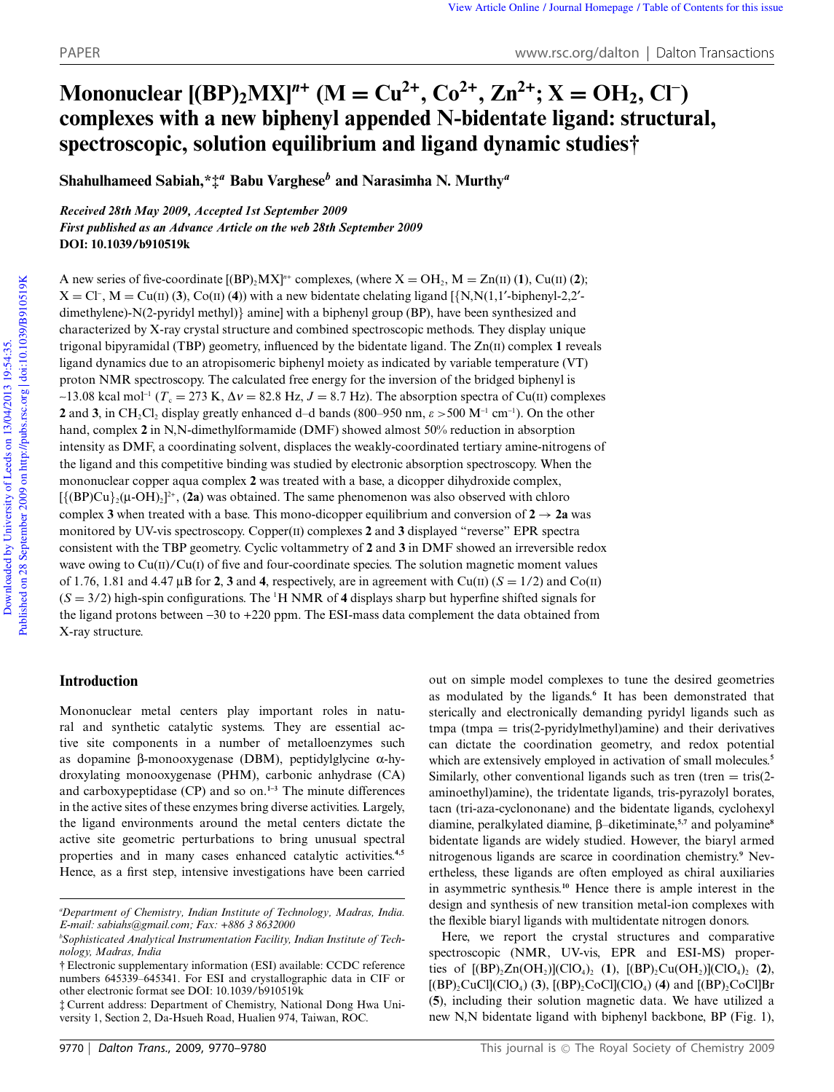# **Mononuclear**  $[(BP)_2 M X]^{\textit{n}+}$   $(M = Cu^{2+}, Co^{2+}, Zn^{2+}; X = OH_2, Cl^{-})$ **complexes with a new biphenyl appended N-bidentate ligand: structural, spectroscopic, solution equilibrium and ligand dynamic studies†**

**Shahulhameed Sabiah,\*‡***<sup>a</sup>* **Babu Varghese***<sup>b</sup>* **and Narasimha N. Murthy***<sup>a</sup>*

*Received 28th May 2009, Accepted 1st September 2009 First published as an Advance Article on the web 28th September 2009* **DOI: 10.1039/b910519k**

A new series of five-coordinate  $[(BP)_2MX]^n$  complexes, (where  $X = OH_2$ ,  $M = Zn(II)(1)$ , Cu(II) (2);  $X = CI^{-}$ ,  $M = Cu(II)$  (3),  $Co(II)$  (4)) with a new bidentate chelating ligand [ $\{N, N(1, 1'-bipheny1-2, 2'-b)\}$ dimethylene)-N(2-pyridyl methyl)} amine] with a biphenyl group (BP), have been synthesized and characterized by X-ray crystal structure and combined spectroscopic methods. They display unique trigonal bipyramidal (TBP) geometry, influenced by the bidentate ligand. The Zn(II) complex **1** reveals ligand dynamics due to an atropisomeric biphenyl moiety as indicated by variable temperature (VT) proton NMR spectroscopy. The calculated free energy for the inversion of the bridged biphenyl is  $\sim$ 13.08 kcal mol<sup>-1</sup> ( $T_c = 273$  K,  $\Delta v = 82.8$  Hz,  $J = 8.7$  Hz). The absorption spectra of Cu(II) complexes **2** and **3**, in CH<sub>2</sub>Cl<sub>2</sub> display greatly enhanced d-d bands (800–950 nm,  $\varepsilon > 500$  M<sup>-1</sup> cm<sup>-1</sup>). On the other hand, complex **2** in N,N-dimethylformamide (DMF) showed almost 50% reduction in absorption intensity as DMF, a coordinating solvent, displaces the weakly-coordinated tertiary amine-nitrogens of the ligand and this competitive binding was studied by electronic absorption spectroscopy. When the mononuclear copper aqua complex **2** was treated with a base, a dicopper dihydroxide complex,  $[{(BP)Cu}_2^](\mu\text{-}OH)_2]^2$ <sup>+</sup>, (2a) was obtained. The same phenomenon was also observed with chloro complex **3** when treated with a base. This mono-dicopper equilibrium and conversion of  $2 \rightarrow 2a$  was monitored by UV-vis spectroscopy. Copper(II) complexes **2** and **3** displayed "reverse" EPR spectra consistent with the TBP geometry. Cyclic voltammetry of **2** and **3** in DMF showed an irreversible redox wave owing to  $Cu(II)/Cu(I)$  of five and four-coordinate species. The solution magnetic moment values of 1.76, 1.81 and 4.47  $\mu$ B for 2, 3 and 4, respectively, are in agreement with Cu(II) ( $S = 1/2$ ) and Co(II)  $(S = 3/2)$  high-spin configurations. The <sup>1</sup>H NMR of 4 displays sharp but hyperfine shifted signals for the ligand protons between -30 to +220 ppm. The ESI-mass data complement the data obtained from X-ray structure.

## **Introduction**

Mononuclear metal centers play important roles in natural and synthetic catalytic systems. They are essential active site components in a number of metalloenzymes such as dopamine  $\beta$ -monooxygenase (DBM), peptidylglycine  $\alpha$ -hydroxylating monooxygenase (PHM), carbonic anhydrase (CA) and carboxypeptidase (CP) and so on.**1–3** The minute differences in the active sites of these enzymes bring diverse activities. Largely, the ligand environments around the metal centers dictate the active site geometric perturbations to bring unusual spectral properties and in many cases enhanced catalytic activities.**4,5** Hence, as a first step, intensive investigations have been carried out on simple model complexes to tune the desired geometries as modulated by the ligands.**<sup>6</sup>** It has been demonstrated that sterically and electronically demanding pyridyl ligands such as  $tmpa = tris(2-pyridylmethyl)amine)$  and their derivatives can dictate the coordination geometry, and redox potential which are extensively employed in activation of small molecules.<sup>5</sup> Similarly, other conventional ligands such as tren (tren  $=$  tris(2aminoethyl)amine), the tridentate ligands, tris-pyrazolyl borates, tacn (tri-aza-cyclononane) and the bidentate ligands, cyclohexyl diamine, peralkylated diamine, b–diketiminate,**5,7** and polyamine**<sup>8</sup>** bidentate ligands are widely studied. However, the biaryl armed nitrogenous ligands are scarce in coordination chemistry.**<sup>9</sup>** Nevertheless, these ligands are often employed as chiral auxiliaries in asymmetric synthesis.**<sup>10</sup>** Hence there is ample interest in the design and synthesis of new transition metal-ion complexes with the flexible biaryl ligands with multidentate nitrogen donors.

Here, we report the crystal structures and comparative spectroscopic (NMR, UV-vis, EPR and ESI-MS) properties of  $[(BP)_2Zn(OH_2)](ClO_4)_2$  (1),  $[(BP)_2Cu(OH_2)](ClO_4)_2$  (2),  $[(BP)_2$ CuCl $[(CIO_4)$  (3),  $[(BP)_2$ CoCl $](CIO_4)$  (4) and  $[(BP)_2$ CoCl $]Br$ (**5**), including their solution magnetic data. We have utilized a new N,N bidentate ligand with biphenyl backbone, BP (Fig. 1),

*<sup>a</sup>Department of Chemistry, Indian Institute of Technology, Madras, India. E-mail: sabiahs@gmail.com; Fax: +886 3 8632000*

*bSophisticated Analytical Instrumentation Facility, Indian Institute of Technology, Madras, India*

<sup>†</sup> Electronic supplementary information (ESI) available: CCDC reference numbers 645339–645341. For ESI and crystallographic data in CIF or other electronic format see DOI: 10.1039/b910519k

<sup>‡</sup> Current address: Department of Chemistry, National Dong Hwa University 1, Section 2, Da-Hsueh Road, Hualien 974, Taiwan, ROC.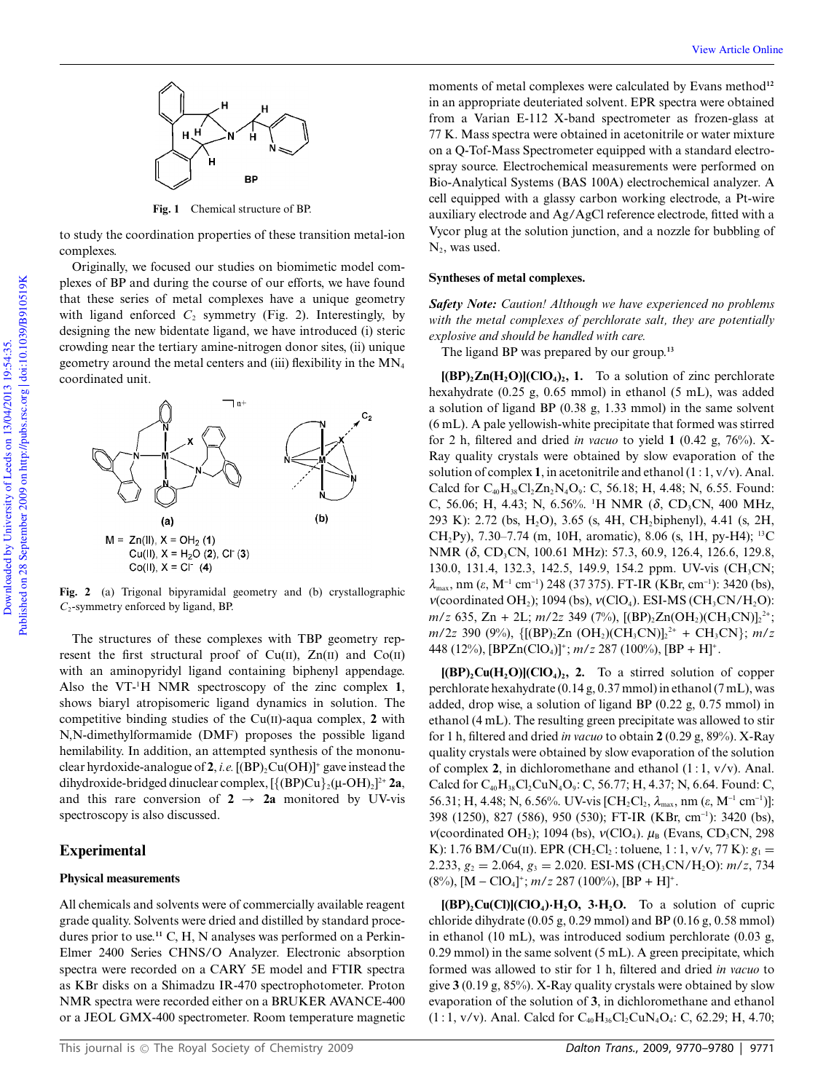

**Fig. 1** Chemical structure of BP.

to study the coordination properties of these transition metal-ion complexes.

Originally, we focused our studies on biomimetic model complexes of BP and during the course of our efforts, we have found that these series of metal complexes have a unique geometry with ligand enforced  $C_2$  symmetry (Fig. 2). Interestingly, by designing the new bidentate ligand, we have introduced (i) steric crowding near the tertiary amine-nitrogen donor sites, (ii) unique geometry around the metal centers and (iii) flexibility in the  $MN_4$ coordinated unit.



**Fig. 2** (a) Trigonal bipyramidal geometry and (b) crystallographic *C*2-symmetry enforced by ligand, BP.

The structures of these complexes with TBP geometry represent the first structural proof of  $Cu(II)$ ,  $Zn(II)$  and  $Co(II)$ with an aminopyridyl ligand containing biphenyl appendage. Also the VT-<sup>1</sup>H NMR spectroscopy of the zinc complex **1**, shows biaryl atropisomeric ligand dynamics in solution. The competitive binding studies of the Cu(II)-aqua complex, **2** with N,N-dimethylformamide (DMF) proposes the possible ligand hemilability. In addition, an attempted synthesis of the mononuclear hyrdoxide-analogue of **2**, *i.e.*  $[(BP)_2Cu(OH)]^+$  gave instead the dihydroxide-bridged dinuclear complex, [{(BP)Cu}<sub>2</sub>(µ-OH)<sub>2</sub>]<sup>2+</sup> **2a**, and this rare conversion of  $2 \rightarrow 2a$  monitored by UV-vis spectroscopy is also discussed.

## **Experimental**

## **Physical measurements**

All chemicals and solvents were of commercially available reagent grade quality. Solvents were dried and distilled by standard procedures prior to use.<sup>11</sup> C, H, N analyses was performed on a Perkin-Elmer 2400 Series CHNS/O Analyzer. Electronic absorption spectra were recorded on a CARY 5E model and FTIR spectra as KBr disks on a Shimadzu IR-470 spectrophotometer. Proton NMR spectra were recorded either on a BRUKER AVANCE-400 or a JEOL GMX-400 spectrometer. Room temperature magnetic moments of metal complexes were calculated by Evans method**<sup>12</sup>** in an appropriate deuteriated solvent. EPR spectra were obtained from a Varian E-112 X-band spectrometer as frozen-glass at 77 K. Mass spectra were obtained in acetonitrile or water mixture on a Q-Tof-Mass Spectrometer equipped with a standard electrospray source. Electrochemical measurements were performed on Bio-Analytical Systems (BAS 100A) electrochemical analyzer. A cell equipped with a glassy carbon working electrode, a Pt-wire auxiliary electrode and Ag/AgCl reference electrode, fitted with a Vycor plug at the solution junction, and a nozzle for bubbling of  $N_{2}$ , was used.

#### **Syntheses of metal complexes.**

*Safety Note: Caution! Although we have experienced no problems with the metal complexes of perchlorate salt, they are potentially explosive and should be handled with care.*

The ligand BP was prepared by our group.**<sup>13</sup>**

**[(BP)2Zn(H2O)](ClO4)<sup>2</sup> , 1.** To a solution of zinc perchlorate hexahydrate (0.25 g, 0.65 mmol) in ethanol (5 mL), was added a solution of ligand BP (0.38 g, 1.33 mmol) in the same solvent (6 mL). A pale yellowish-white precipitate that formed was stirred for 2 h, filtered and dried *in vacuo* to yield  $1$  (0.42 g, 76%). X-Ray quality crystals were obtained by slow evaporation of the solution of complex **1**, in acetonitrile and ethanol (1 : 1, v/v). Anal. Calcd for  $C_{40}H_{38}Cl_2Zn_2N_4O_9$ : C, 56.18; H, 4.48; N, 6.55. Found: C, 56.06; H, 4.43; N, 6.56%. <sup>1</sup>H NMR (δ, CD<sub>3</sub>CN, 400 MHz, 293 K): 2.72 (bs, H2O), 3.65 (s, 4H, CH2biphenyl), 4.41 (s, 2H, CH<sub>2</sub>Py), 7.30–7.74 (m, 10H, aromatic), 8.06 (s, 1H, py-H4); <sup>13</sup>C NMR (δ, CD<sub>3</sub>CN, 100.61 MHz): 57.3, 60.9, 126.4, 126.6, 129.8, 130.0, 131.4, 132.3, 142.5, 149.9, 154.2 ppm. UV-vis (CH<sub>3</sub>CN;  $\lambda_{\text{max}}$ , nm ( $\varepsilon$ , M<sup>-1</sup> cm<sup>-1</sup>) 248 (37 375). FT-IR (KBr, cm<sup>-1</sup>): 3420 (bs), *v*(coordinated OH<sub>2</sub>); 1094 (bs), *v*(ClO<sub>4</sub>). ESI-MS (CH<sub>3</sub>CN/H<sub>2</sub>O): *m/z* 635, Zn + 2L; *m/2z* 349 (7%), [(BP)<sub>2</sub>Zn(OH<sub>2</sub>)(CH<sub>3</sub>CN)]<sub>2</sub><sup>2+</sup>; *m*/2*z* 390 (9%), {[(BP)<sub>2</sub>Zn (OH<sub>2</sub>)(CH<sub>3</sub>CN)]<sub>2</sub><sup>2+</sup> + CH<sub>3</sub>CN}; *m/z* 448 (12%), [BPZn(ClO4)]<sup>+</sup> ; *m*/*z* 287 (100%), [BP + H]<sup>+</sup> .

**[(BP)2Cu(H2O)](ClO4)<sup>2</sup> , 2.** To a stirred solution of copper perchlorate hexahydrate (0.14 g, 0.37 mmol) in ethanol (7 mL), was added, drop wise, a solution of ligand BP (0.22 g, 0.75 mmol) in ethanol (4 mL). The resulting green precipitate was allowed to stir for 1 h, filtered and dried *in vacuo* to obtain **2** (0.29 g, 89%). X-Ray quality crystals were obtained by slow evaporation of the solution of complex **2**, in dichloromethane and ethanol (1 : 1, v/v). Anal. Calcd for  $C_{40}H_{38}Cl_2CuN_4O_9$ : C, 56.77; H, 4.37; N, 6.64. Found: C, 56.31; H, 4.48; N, 6.56%. UV-vis [CH<sub>2</sub>Cl<sub>2</sub>, λ<sub>max</sub>, nm (ε, M<sup>-1</sup> cm<sup>-1</sup>)]: 398 (1250), 827 (586), 950 (530); FT-IR (KBr, cm-<sup>1</sup> ): 3420 (bs),  $\nu$ (coordinated OH<sub>2</sub>); 1094 (bs),  $\nu$ (ClO<sub>4</sub>).  $\mu$ <sub>B</sub> (Evans, CD<sub>3</sub>CN, 298 K): 1.76 BM/Cu(II). EPR (CH<sub>2</sub>Cl<sub>2</sub>: toluene, 1: 1, v/v, 77 K):  $g_1 =$ 2.233,  $g_2 = 2.064$ ,  $g_3 = 2.020$ . ESI-MS (CH<sub>3</sub>CN/H<sub>2</sub>O):  $m/z$ , 734  $(8\%)$ ,  $[M - ClO<sub>4</sub>]<sup>+</sup>$ ;  $m/z$  287 (100%),  $[BP + H]<sup>+</sup>$ .

**[(BP)2Cu(Cl)](ClO4)**·**H2O, 3**·**H2O.** To a solution of cupric chloride dihydrate (0.05 g, 0.29 mmol) and BP (0.16 g, 0.58 mmol) in ethanol (10 mL), was introduced sodium perchlorate (0.03 g, 0.29 mmol) in the same solvent (5 mL). A green precipitate, which formed was allowed to stir for 1 h, filtered and dried *in vacuo* to give **3** (0.19 g, 85%). X-Ray quality crystals were obtained by slow evaporation of the solution of **3**, in dichloromethane and ethanol  $(1:1, v/v)$ . Anal. Calcd for  $C_{40}H_{36}Cl_2CuN_4O_4$ : C, 62.29; H, 4.70;

Downloaded by University of Leeds on 13/04/2013 19:54:35. Published on 28 September 2009 on http://pubs.rsc.org | doi:10.1039/B910519K

Published on 28 September 2009 on http://pubs.rsc.org doi:10.1039/B910519K Downloaded by University of Leeds on 13/04/2013 19:54:35.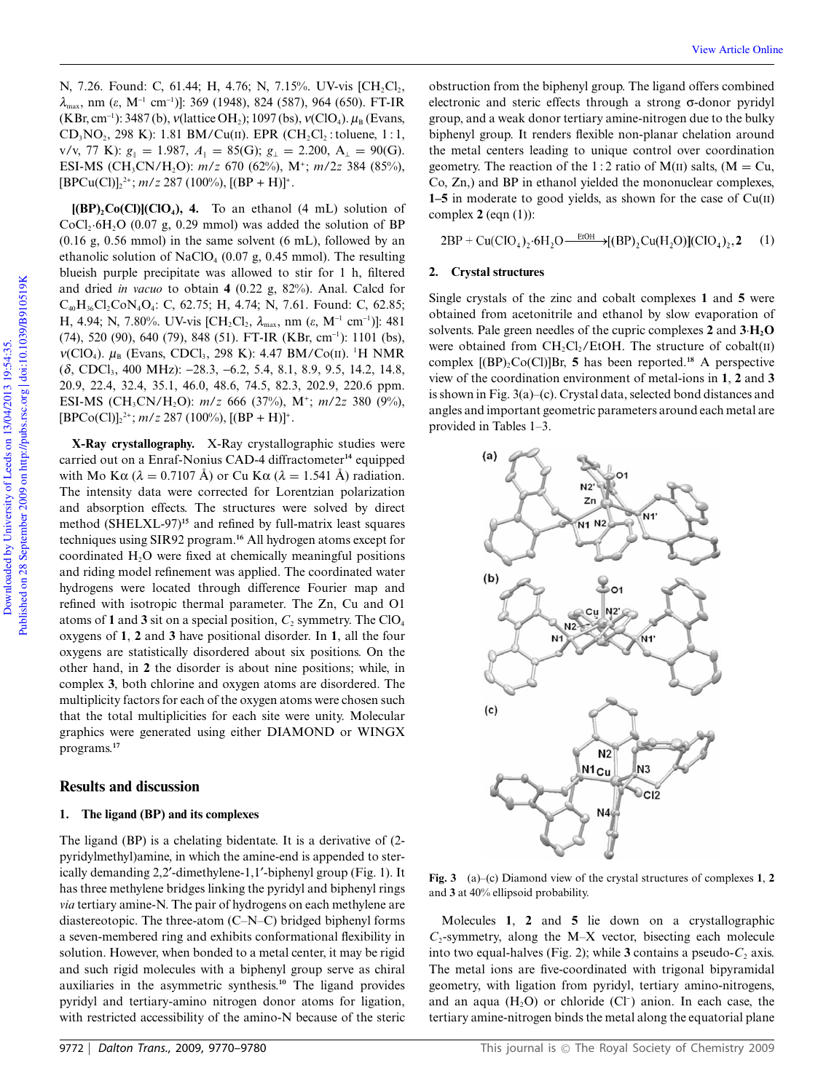N, 7.26. Found: C, 61.44; H, 4.76; N, 7.15%. UV-vis [CH<sub>2</sub>Cl<sub>2</sub>,  $λ<sub>max</sub>$ , nm (ε, M<sup>-1</sup> cm<sup>-1</sup>)]: 369 (1948), 824 (587), 964 (650). FT-IR (KBr, cm<sup>-1</sup>): 3487 (b), *v*(lattice OH<sub>2</sub>); 1097 (bs), *v*(ClO<sub>4</sub>).  $\mu_B$  (Evans,  $CD_3NO_2$ , 298 K): 1.81 BM/Cu(II). EPR  $(CH_2Cl_2$ : toluene, 1:1,  $v/v$ , 77 K):  $g_{\parallel} = 1.987$ ,  $A_{\parallel} = 85$ (G);  $g_{\perp} = 2.200$ ,  $A_{\perp} = 90$ (G). ESI-MS (CH<sub>3</sub>CN/H<sub>2</sub>O): *m/z* 670 (62%), M<sup>+</sup>; *m/2z* 384 (85%),  $[BPCu(Cl)]_2^2$ ; *m/z* 287 (100%),  $[(BP + H)]^*$ .

 $[(BP)_2Co(Cl)](ClO_4)$ , 4. To an ethanol (4 mL) solution of  $CoCl<sub>2</sub>·6H<sub>2</sub>O$  (0.07 g, 0.29 mmol) was added the solution of BP (0.16 g, 0.56 mmol) in the same solvent (6 mL), followed by an ethanolic solution of NaClO<sub>4</sub> (0.07 g, 0.45 mmol). The resulting blueish purple precipitate was allowed to stir for 1 h, filtered and dried *in vacuo* to obtain **4** (0.22 g, 82%). Anal. Calcd for  $C_{40}H_{36}Cl_2CoN_4O_4$ : C, 62.75; H, 4.74; N, 7.61. Found: C, 62.85; H, 4.94; N, 7.80%. UV-vis [CH<sub>2</sub>Cl<sub>2</sub>, λ<sub>max</sub>, nm (ε, M<sup>-1</sup> cm<sup>-1</sup>)]: 481 (74), 520 (90), 640 (79), 848 (51). FT-IR (KBr, cm-<sup>1</sup> ): 1101 (bs), *v*(ClO<sub>4</sub>).  $\mu_B$  (Evans, CDCl<sub>3</sub>, 298 K): 4.47 BM/Co(II). <sup>1</sup>H NMR (δ, CDCl<sub>3</sub>, 400 MHz): −28.3, −6.2, 5.4, 8.1, 8.9, 9.5, 14.2, 14.8, 20.9, 22.4, 32.4, 35.1, 46.0, 48.6, 74.5, 82.3, 202.9, 220.6 ppm. ESI-MS (CH3CN/H2O): *m*/*z* 666 (37%), M<sup>+</sup> ; *m*/2*z* 380 (9%),  $[BPCo(Cl)]_2^2$ ; *m/z* 287 (100%),  $[(BP + H)]^*$ .

**X-Ray crystallography.** X-Ray crystallographic studies were carried out on a Enraf-Nonius CAD-4 diffractometer**<sup>14</sup>** equipped with Mo K $\alpha$  ( $\lambda = 0.7107$  Å) or Cu K $\alpha$  ( $\lambda = 1.541$  Å) radiation. The intensity data were corrected for Lorentzian polarization and absorption effects. The structures were solved by direct method (SHELXL-97)**<sup>15</sup>** and refined by full-matrix least squares techniques using SIR92 program.**<sup>16</sup>** All hydrogen atoms except for coordinated  $H_2O$  were fixed at chemically meaningful positions and riding model refinement was applied. The coordinated water hydrogens were located through difference Fourier map and refined with isotropic thermal parameter. The Zn, Cu and O1 atoms of 1 and 3 sit on a special position,  $C_2$  symmetry. The ClO<sub>4</sub> oxygens of **1**, **2** and **3** have positional disorder. In **1**, all the four oxygens are statistically disordered about six positions. On the other hand, in **2** the disorder is about nine positions; while, in complex **3**, both chlorine and oxygen atoms are disordered. The multiplicity factors for each of the oxygen atoms were chosen such that the total multiplicities for each site were unity. Molecular graphics were generated using either DIAMOND or WINGX programs.**<sup>17</sup>**

## **Results and discussion**

#### **1. The ligand (BP) and its complexes**

The ligand (BP) is a chelating bidentate. It is a derivative of (2 pyridylmethyl)amine, in which the amine-end is appended to sterically demanding 2,2¢-dimethylene-1,1¢-biphenyl group (Fig. 1). It has three methylene bridges linking the pyridyl and biphenyl rings *via* tertiary amine-N. The pair of hydrogens on each methylene are diastereotopic. The three-atom (C–N–C) bridged biphenyl forms a seven-membered ring and exhibits conformational flexibility in solution. However, when bonded to a metal center, it may be rigid and such rigid molecules with a biphenyl group serve as chiral auxiliaries in the asymmetric synthesis.**<sup>10</sup>** The ligand provides pyridyl and tertiary-amino nitrogen donor atoms for ligation, with restricted accessibility of the amino-N because of the steric

obstruction from the biphenyl group. The ligand offers combined electronic and steric effects through a strong  $\sigma$ -donor pyridyl group, and a weak donor tertiary amine-nitrogen due to the bulky biphenyl group. It renders flexible non-planar chelation around the metal centers leading to unique control over coordination geometry. The reaction of the 1:2 ratio of  $M(II)$  salts,  $(M = Cu,$ Co, Zn,) and BP in ethanol yielded the mononuclear complexes, **1–5** in moderate to good yields, as shown for the case of Cu(II) complex **2** (eqn (1)):

 $2BP + Cu(CIO_4), 6H_2O \xrightarrow{EtOH} [(BP), Cu(H_2O)] (CIO_4), 2$ (1)

#### **2. Crystal structures**

Single crystals of the zinc and cobalt complexes **1** and **5** were obtained from acetonitrile and ethanol by slow evaporation of solvents. Pale green needles of the cupric complexes **2** and **3**·**H2O** were obtained from  $CH_2Cl_2/EtOH$ . The structure of cobalt(II) complex  $[(BP)_2Co(Cl)]Br$ , **5** has been reported.<sup>18</sup> A perspective view of the coordination environment of metal-ions in **1**, **2** and **3** is shown in Fig. 3(a)–(c). Crystal data, selected bond distances and angles and important geometric parameters around each metal are provided in Tables 1–3.



**Fig. 3** (a)–(c) Diamond view of the crystal structures of complexes **1**, **2** and **3** at 40% ellipsoid probability.

Molecules **1**, **2** and **5** lie down on a crystallographic  $C_2$ -symmetry, along the M–X vector, bisecting each molecule into two equal-halves (Fig. 2); while  $3$  contains a pseudo- $C_2$  axis. The metal ions are five-coordinated with trigonal bipyramidal geometry, with ligation from pyridyl, tertiary amino-nitrogens, and an aqua  $(H_2O)$  or chloride  $(Cl^-)$  anion. In each case, the tertiary amine-nitrogen binds the metal along the equatorial plane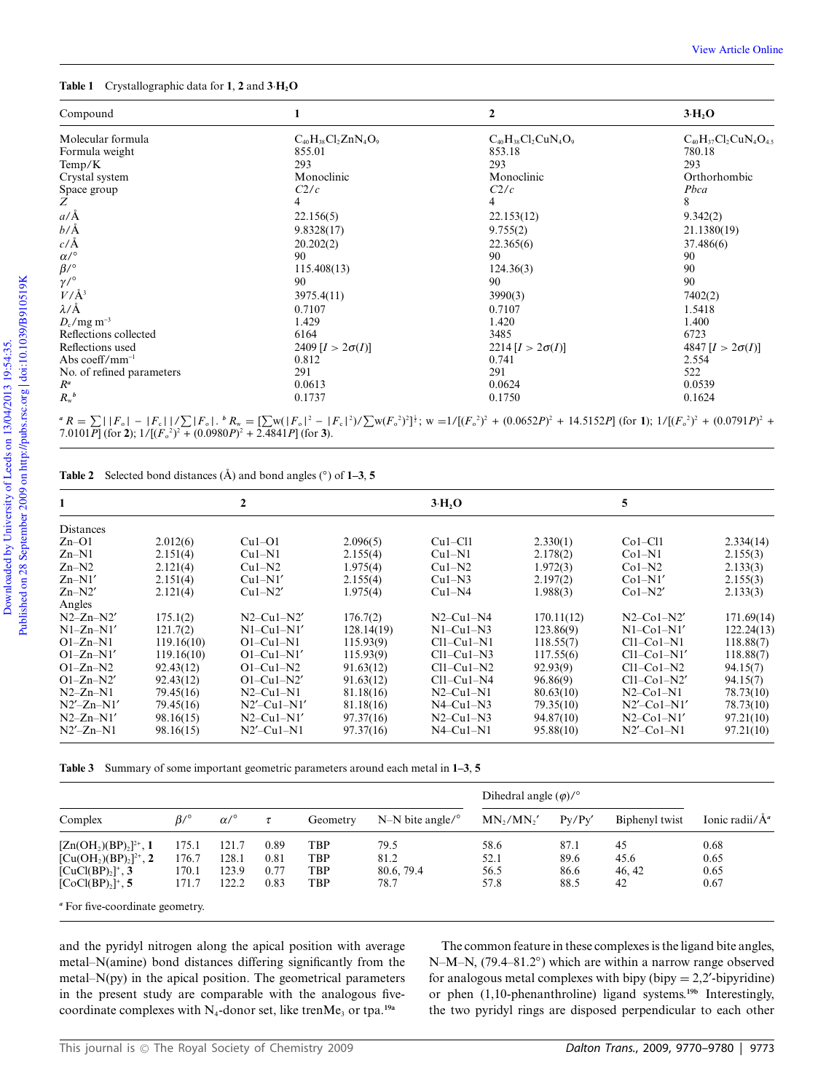### **Table 1** Crystallographic data for **1**, **2** and **3**·**H2O**

| Compound                  |                            | 2                          | $3 \text{H}$ , O           |  |
|---------------------------|----------------------------|----------------------------|----------------------------|--|
| Molecular formula         | $C_{40}H_{38}Cl_2ZnN_4O_9$ | $C_{40}H_{38}Cl_2CuN_4O_9$ | $C_{40}H_{37}Cl_2CuN_4O_4$ |  |
| Formula weight            | 855.01                     | 853.18                     | 780.18                     |  |
| Temp/K                    | 293                        | 293                        | 293                        |  |
| Crystal system            | Monoclinic                 | Monoclinic                 | Orthorhombic               |  |
| Space group               | C2/c                       | C2/c                       | Pbca                       |  |
| Ζ                         | 4                          | 4                          | 8                          |  |
| $a/\text{\AA}$            | 22.156(5)                  | 22.153(12)                 | 9.342(2)                   |  |
| $b/\AA$                   | 9.8328(17)                 | 9.755(2)                   | 21.1380(19)                |  |
| $c/\text{\AA}$            | 20.202(2)                  | 22.365(6)                  | 37.486(6)                  |  |
| $\alpha/^\circ$           | 90                         | 90                         | 90                         |  |
| $\beta$ /°                | 115.408(13)                | 124.36(3)                  | 90                         |  |
| $\gamma/^{\circ}$         | 90                         | 90                         | 90                         |  |
| $V/\AA$ <sup>3</sup>      | 3975.4(11)                 | 3990(3)                    | 7402(2)                    |  |
| $\lambda/\text{\AA}$      | 0.7107                     | 0.7107                     | 1.5418                     |  |
| $D_c/mg$ m <sup>-3</sup>  | 1.429                      | 1.420                      | 1.400                      |  |
| Reflections collected     | 6164                       | 3485                       | 6723                       |  |
| Reflections used          | $2409 [I > 2\sigma(I)]$    | 2214 $[I > 2\sigma(I)]$    | 4847 $[I > 2\sigma(I)]$    |  |
| Abs coeff/ $mm^{-1}$      | 0.812                      | 0.741                      | 2.554                      |  |
| No. of refined parameters | 291                        | 291                        | 522                        |  |
| $R^a$                     | 0.0613                     | 0.0624                     | 0.0539                     |  |
| $R_{\rm w}{}^b$           | 0.1737                     | 0.1750                     | 0.1624                     |  |

 ${}^{\alpha}R = \sum |F_{\alpha}| - |F_{\alpha}| / |\sum |F_{\alpha}|$ .  ${}^{\beta}R_{w} = \sum |W(|F_{\alpha}|^{2} - |F_{\alpha}|^{2}) / |\sum |W(F_{\alpha}|^{2})^{2}|$ ;  $w = 1/[(F_{\alpha}^{2})^{2} + (0.0652P)^{2} + 14.5152P]$  (for 1);  $1/[(F_{\alpha}^{2})^{2} + (0.0791P)^{2} + 7.0121R]$  $7.0101P$ ] (for **2**);  $1/[(F_0^2)^2 + (0.0980P)^2 + 2.4841P]$  (for **3**).

**Table 2** Selected bond distances  $(\hat{A})$  and bond angles  $(\textdegree)$  of 1–3, 5

| 1                |            | 2                |            | $3 \cdot H2O$ |            | 5              |            |
|------------------|------------|------------------|------------|---------------|------------|----------------|------------|
| Distances        |            |                  |            |               |            |                |            |
| $Zn-O1$          | 2.012(6)   | $Cu1-O1$         | 2.096(5)   | $Cu1-C11$     | 2.330(1)   | $Co1-C11$      | 2.334(14)  |
| $Zn-N1$          | 2.151(4)   | $Cu1-N1$         | 2.155(4)   | $Cu1-N1$      | 2.178(2)   | $Co1-N1$       | 2.155(3)   |
| $Zn-N2$          | 2.121(4)   | $Cu1-N2$         | 1.975(4)   | $Cu1-N2$      | 1.972(3)   | $Co1-N2$       | 2.133(3)   |
| $Zn-N1'$         | 2.151(4)   | $Cu1-N1'$        | 2.155(4)   | $Cu1-N3$      | 2.197(2)   | $Co1-N1'$      | 2.155(3)   |
| $Zn-N2'$         | 2.121(4)   | $Cu1-N2'$        | 1.975(4)   | $Cu1-N4$      | 1.988(3)   | $Co1-N2'$      | 2.133(3)   |
| Angles           |            |                  |            |               |            |                |            |
| $N2-Zn-N2'$      | 175.1(2)   | $N2-Cu1-N2'$     | 176.7(2)   | $N2-Cu1-N4$   | 170.11(12) | $N2$ –Col–N2'  | 171.69(14) |
| $N1-Zn-N1'$      | 121.7(2)   | $N1-Cu1-N1'$     | 128.14(19) | $N1-Cu1-N3$   | 123.86(9)  | $N1-Co1-N1'$   | 122.24(13) |
| $O1-Zn-N1$       | 119.16(10) | $O1 - Cu1 - N1$  | 115.93(9)  | Cl1–Cu1–N1    | 118.55(7)  | $Cl1-Co1-N1$   | 118.88(7)  |
| $O1-Zn-N1'$      | 119.16(10) | $O1 - Cu1 - N1'$ | 115.93(9)  | $Cl1-Cu1-N3$  | 117.55(6)  | $Cl1-Co1-N1'$  | 118.88(7)  |
| $O1-Zn-N2$       | 92.43(12)  | $O1 - Cu1 - N2$  | 91.63(12)  | $Cl1-Cu1-N2$  | 92.93(9)   | $Cl1-Co1-N2$   | 94.15(7)   |
| $O1-Zn-N2'$      | 92.43(12)  | $O1-Cu1-N2'$     | 91.63(12)  | $Cl1-Cu1-N4$  | 96.86(9)   | $Cl1-Co1-N2'$  | 94.15(7)   |
| $N2-Zn-N1$       | 79.45(16)  | $N2-Cu1-N1$      | 81.18(16)  | $N2-Cu1-N1$   | 80.63(10)  | $N2$ –Col–Nl   | 78.73(10)  |
| $N2'$ – $Zn-N1'$ | 79.45(16)  | $N2'$ –Cul–N1'   | 81.18(16)  | $N4$ –Cul–N3  | 79.35(10)  | $N2'$ –Col–N1' | 78.73(10)  |
| $N2-Zn-N1'$      | 98.16(15)  | $N2-Cu1-N1'$     | 97.37(16)  | $N2-Cu1-N3$   | 94.87(10)  | $N2$ –Col–N1'  | 97.21(10)  |
| $N2'$ – $Zn-N1$  | 98.16(15)  | $N2'$ –Cul–Nl    | 97.37(16)  | $N4$ –Cul–Nl  | 95.88(10)  | $N2'$ –Col–N1  | 97.21(10)  |

|  |  |  |  |  | <b>Table 3</b> Summary of some important geometric parameters around each metal in 1–3, 5 |  |  |  |  |  |
|--|--|--|--|--|-------------------------------------------------------------------------------------------|--|--|--|--|--|
|--|--|--|--|--|-------------------------------------------------------------------------------------------|--|--|--|--|--|

| $P_V/P_V'$<br>Ionic radii/ $\AA^a$<br>MN <sub>1</sub> /MN <sub>1</sub> '<br>Biphenyl twist |  |
|--------------------------------------------------------------------------------------------|--|
| 58.6<br>87.1<br>45<br>0.68                                                                 |  |
| 52.1<br>89.6<br>0.65<br>45.6                                                               |  |
| 86.6<br>0.65<br>56.5<br>46.42                                                              |  |
| 57.8<br>88.5<br>42<br>0.67                                                                 |  |
|                                                                                            |  |

*<sup>a</sup>* For five-coordinate geometry.

and the pyridyl nitrogen along the apical position with average metal–N(amine) bond distances differing significantly from the metal–N(py) in the apical position. The geometrical parameters in the present study are comparable with the analogous fivecoordinate complexes with  $N_4$ -donor set, like trenMe<sub>3</sub> or tpa.<sup>19a</sup>

The common feature in these complexes is the ligand bite angles, N–M–N, (79.4–81.2°) which are within a narrow range observed for analogous metal complexes with bipy (bipy  $= 2.2$ '-bipyridine) or phen (1,10-phenanthroline) ligand systems.**19b** Interestingly, the two pyridyl rings are disposed perpendicular to each other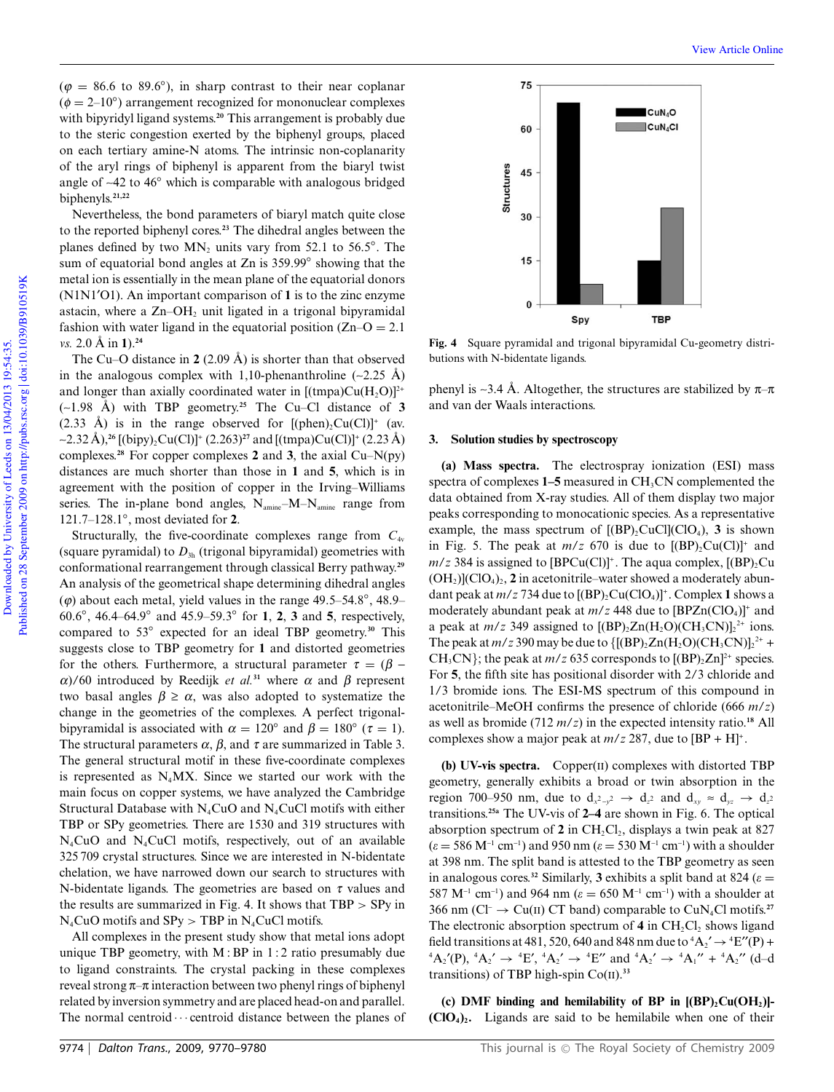$(\varphi = 86.6 \text{ to } 89.6°)$ , in sharp contrast to their near coplanar  $(\phi = 2{\text -}10^{\circ})$  arrangement recognized for mononuclear complexes with bipyridyl ligand systems.**<sup>20</sup>** This arrangement is probably due to the steric congestion exerted by the biphenyl groups, placed on each tertiary amine-N atoms. The intrinsic non-coplanarity of the aryl rings of biphenyl is apparent from the biaryl twist angle of  $~42$  to  $46°$  which is comparable with analogous bridged biphenyls.**21,22**

Nevertheless, the bond parameters of biaryl match quite close to the reported biphenyl cores.**<sup>23</sup>** The dihedral angles between the planes defined by two  $MN_2$  units vary from 52.1 to 56.5 $^{\circ}$ . The sum of equatorial bond angles at Zn is 359.99° showing that the metal ion is essentially in the mean plane of the equatorial donors (N1N1¢O1). An important comparison of **1** is to the zinc enzyme astacin, where a  $Zn-OH<sub>2</sub>$  unit ligated in a trigonal bipyramidal fashion with water ligand in the equatorial position  $(Zn-O = 2.1)$ *vs.* 2.0 Å in  $1$ ).<sup>24</sup>

The Cu–O distance in  $2(2.09 \text{ Å})$  is shorter than that observed in the analogous complex with 1,10-phenanthroline  $(-2.25 \text{ Å})$ and longer than axially coordinated water in  $[(\text{tmpa})Cu(H, O)]^{2+}$  $(-1.98 \text{ Å})$  with TBP geometry.<sup>25</sup> The Cu–Cl distance of 3 (2.33 Å) is in the range observed for  $[(phen)_2Cu(Cl)]^+$  (av. ~2.32 Å),<sup>26</sup> [(bipy)<sub>2</sub>Cu(Cl)]<sup>+</sup> (2.263)<sup>27</sup> and [(tmpa)Cu(Cl)]<sup>+</sup> (2.23 Å) complexes.**<sup>28</sup>** For copper complexes **2** and **3**, the axial Cu–N(py) distances are much shorter than those in **1** and **5**, which is in agreement with the position of copper in the Irving–Williams series. The in-plane bond angles,  $N_{\text{amine}}-M-N_{\text{amine}}$  range from 121.7–128.1◦ , most deviated for **2**.

Structurally, the five-coordinate complexes range from  $C_{4v}$ (square pyramidal) to  $D_{3h}$  (trigonal bipyramidal) geometries with conformational rearrangement through classical Berry pathway.**<sup>29</sup>** An analysis of the geometrical shape determining dihedral angles  $(\varphi)$  about each metal, yield values in the range 49.5–54.8°, 48.9– 60.6◦ , 46.4–64.9◦ and 45.9–59.3◦ for **1**, **2**, **3** and **5**, respectively, compared to 53◦ expected for an ideal TBP geometry.**<sup>30</sup>** This suggests close to TBP geometry for **1** and distorted geometries for the others. Furthermore, a structural parameter  $\tau = (\beta - \beta)$  $\alpha$ )/60 introduced by Reedijk *et al.*<sup>31</sup> where  $\alpha$  and  $\beta$  represent two basal angles  $\beta \ge \alpha$ , was also adopted to systematize the change in the geometries of the complexes. A perfect trigonalbipyramidal is associated with  $\alpha = 120^\circ$  and  $\beta = 180^\circ$  ( $\tau = 1$ ). The structural parameters  $\alpha$ ,  $\beta$ , and  $\tau$  are summarized in Table 3. The general structural motif in these five-coordinate complexes is represented as  $N_4$ MX. Since we started our work with the main focus on copper systems, we have analyzed the Cambridge Structural Database with  $N_4CuO$  and  $N_4CuCl$  motifs with either TBP or SPy geometries. There are 1530 and 319 structures with N4CuO and N4CuCl motifs, respectively, out of an available 325 709 crystal structures. Since we are interested in N-bidentate chelation, we have narrowed down our search to structures with N-bidentate ligands. The geometries are based on *t* values and the results are summarized in Fig. 4. It shows that TBP > SPy in  $N_4CuO$  motifs and  $SPy > TBP$  in  $N_4CuCl$  motifs.

All complexes in the present study show that metal ions adopt unique TBP geometry, with  $M : BP$  in 1:2 ratio presumably due to ligand constraints. The crystal packing in these complexes reveal strong  $\pi-\pi$  interaction between two phenyl rings of biphenyl related by inversion symmetry and are placed head-on and parallel. The normal centroid  $\cdots$  centroid distance between the planes of



**Fig. 4** Square pyramidal and trigonal bipyramidal Cu-geometry distributions with N-bidentate ligands.

phenyl is ~3.4 Å. Altogether, the structures are stabilized by  $\pi-\pi$ and van der Waals interactions.

## **3. Solution studies by spectroscopy**

**(a) Mass spectra.** The electrospray ionization (ESI) mass spectra of complexes 1–5 measured in CH<sub>3</sub>CN complemented the data obtained from X-ray studies. All of them display two major peaks corresponding to monocationic species. As a representative example, the mass spectrum of  $[(BP)_2CuCl](ClO_4)$ , **3** is shown in Fig. 5. The peak at  $m/z$  670 is due to  $[(BP)_2Cu(Cl)]^+$  and  $m/z$  384 is assigned to [BPCu(Cl)]<sup>+</sup>. The aqua complex, [(BP)<sub>2</sub>Cu  $(OH<sub>2</sub>)] (ClO<sub>4</sub>)<sub>2</sub>$ , 2 in acetonitrile–water showed a moderately abundant peak at *m/z* 734 due to [(BP)<sub>2</sub>Cu(ClO<sub>4</sub>)]<sup>+</sup>. Complex **1** shows a moderately abundant peak at  $m/z$  448 due to  $[BPZn(CIO_4)]^+$  and a peak at  $m/z$  349 assigned to  $[(BP)_2Zn(H_2O)(CH_3CN)]_2^{2+}$  ions. The peak at  $m/z$  390 may be due to  $\{[(BP)_2Zn(H_2O)(CH_3CN)]_2^{2+}$  + CH<sub>3</sub>CN}; the peak at  $m/z$  635 corresponds to  $[(BP)_2Zn]^{2+}$  species. For **5**, the fifth site has positional disorder with 2/3 chloride and 1/3 bromide ions. The ESI-MS spectrum of this compound in acetonitrile–MeOH confirms the presence of chloride (666 *m*/*z*) as well as bromide (712 *m*/*z*) in the expected intensity ratio.**<sup>18</sup>** All complexes show a major peak at  $m/z$  287, due to  $[BP + H]^+$ .

**(b) UV-vis spectra.** Copper(II) complexes with distorted TBP geometry, generally exhibits a broad or twin absorption in the region 700–950 nm, due to  $d_{x^2-y^2} \rightarrow d_{z^2}$  and  $d_{xy} \approx d_{yz} \rightarrow d_{z^2}$ transitions.**25a** The UV-vis of **2–4** are shown in Fig. 6. The optical absorption spectrum of  $2$  in  $CH_2Cl_2$ , displays a twin peak at 827  $(\varepsilon = 586 \text{ M}^{-1} \text{ cm}^{-1})$  and 950 nm  $(\varepsilon = 530 \text{ M}^{-1} \text{ cm}^{-1})$  with a shoulder at 398 nm. The split band is attested to the TBP geometry as seen in analogous cores.<sup>32</sup> Similarly, 3 exhibits a split band at 824 ( $\varepsilon$  = 587 M<sup>-1</sup> cm<sup>-1</sup>) and 964 nm ( $\varepsilon = 650$  M<sup>-1</sup> cm<sup>-1</sup>) with a shoulder at 366 nm ( $Cl^{-} \rightarrow Cu(II)$  CT band) comparable to  $CuN_{4}Cl$  motifs.<sup>27</sup> The electronic absorption spectrum of  $4$  in  $CH_2Cl_2$  shows ligand field transitions at 481, 520, 640 and 848 nm due to  ${}^4A_2$ <sup> $\rightarrow$  4</sup>E $''(P)$  +  ${}^4A_2{}^{\prime}(P)$ ,  ${}^4A_2{}^{\prime} \rightarrow {}^4E'$ ,  ${}^4A_2{}^{\prime} \rightarrow {}^4E''$  and  ${}^4A_2{}^{\prime} \rightarrow {}^4A_1{}^{\prime\prime} + {}^4A_2{}^{\prime\prime}$  (d–d transitions) of TBP high-spin Co(II).**<sup>33</sup>**

**(c) DMF binding and hemilability of BP in [(BP)2Cu(OH2)]- (ClO4)<sup>2</sup> .** Ligands are said to be hemilabile when one of their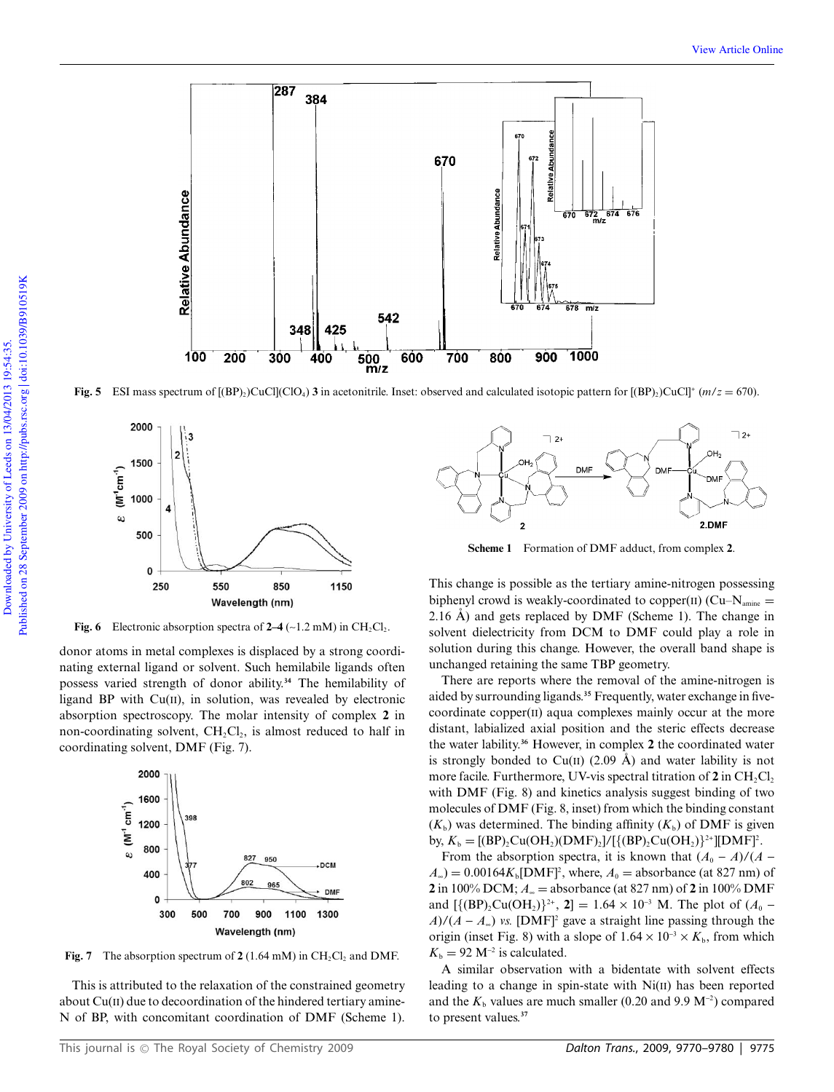

**Fig. 5** ESI mass spectrum of  $[(BP)_2)CuCl(CIO_4)$  **3** in acetonitrile. Inset: observed and calculated isotopic pattern for  $[(BP)_2)CuCl^+(m/z = 670)$ .



**Fig. 6** Electronic absorption spectra of  $2-4$  ( $\sim$ 1.2 mM) in CH<sub>2</sub>Cl<sub>2</sub>.

donor atoms in metal complexes is displaced by a strong coordinating external ligand or solvent. Such hemilabile ligands often possess varied strength of donor ability.**<sup>34</sup>** The hemilability of ligand BP with  $Cu(II)$ , in solution, was revealed by electronic absorption spectroscopy. The molar intensity of complex **2** in non-coordinating solvent,  $CH_2Cl_2$ , is almost reduced to half in coordinating solvent, DMF (Fig. 7).



**Fig. 7** The absorption spectrum of  $2(1.64 \text{ mM})$  in  $\text{CH}_2\text{Cl}_2$  and DMF.

This is attributed to the relaxation of the constrained geometry about Cu(II) due to decoordination of the hindered tertiary amine-N of BP, with concomitant coordination of DMF (Scheme 1).



**Scheme 1** Formation of DMF adduct, from complex **2**.

This change is possible as the tertiary amine-nitrogen possessing biphenyl crowd is weakly-coordinated to copper(II) ( $Cu-N<sub>amine</sub>$ ) 2.16 Å) and gets replaced by DMF (Scheme 1). The change in solvent dielectricity from DCM to DMF could play a role in solution during this change. However, the overall band shape is unchanged retaining the same TBP geometry.

There are reports where the removal of the amine-nitrogen is aided by surrounding ligands.**<sup>35</sup>** Frequently, water exchange in fivecoordinate copper(II) aqua complexes mainly occur at the more distant, labialized axial position and the steric effects decrease the water lability.**<sup>36</sup>** However, in complex **2** the coordinated water is strongly bonded to  $Cu(II)$  (2.09 Å) and water lability is not more facile. Furthermore, UV-vis spectral titration of  $2$  in  $CH_2Cl_2$ with DMF (Fig. 8) and kinetics analysis suggest binding of two molecules of DMF (Fig. 8, inset) from which the binding constant  $(K_b)$  was determined. The binding affinity  $(K_b)$  of DMF is given by,  $K_b = [(BP)_2 Cu(OH_2)(DMF)_2]/[{(BP)_2 Cu(OH_2)}^2][DMF]^2$ .

From the absorption spectra, it is known that  $(A_0 - A)/(A)$  $A_{\infty}$ ) = 0.00164 $K_{b}$ [DMF]<sup>2</sup>, where,  $A_{0}$  = absorbance (at 827 nm) of **2** in 100% DCM;  $A_{\infty}$  = absorbance (at 827 nm) of **2** in 100% DMF and  $[\{(\text{BP})_2\text{Cu}(\text{OH}_2)\}^{2+}$ , 2] = 1.64 × 10<sup>-3</sup> M. The plot of  $(A_0 A$ )/( $A - A_{\infty}$ ) *vs.* [DMF]<sup>2</sup> gave a straight line passing through the origin (inset Fig. 8) with a slope of  $1.64 \times 10^{-3} \times K_b$ , from which  $K_{\rm b} = 92 \text{ M}^{-2}$  is calculated.

A similar observation with a bidentate with solvent effects leading to a change in spin-state with Ni(II) has been reported and the  $K<sub>b</sub>$  values are much smaller (0.20 and 9.9  $M<sup>-2</sup>$ ) compared to present values.**<sup>37</sup>**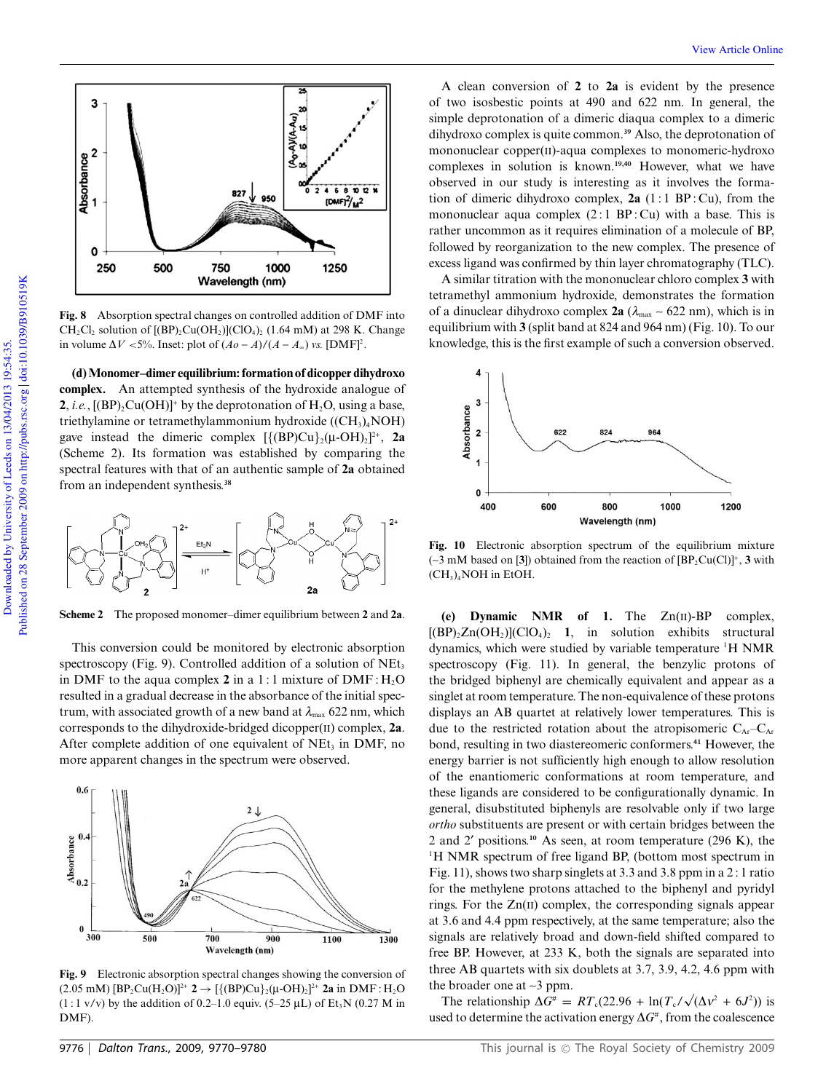

**Fig. 8** Absorption spectral changes on controlled addition of DMF into  $CH_2Cl_2$  solution of  $[(BP)_2Cu(OH_2)](ClO_4)_2$  (1.64 mM) at 298 K. Change in volume  $\Delta V < 5\%$ . Inset: plot of  $(Ao - A)/(A - A_{\infty})$  *vs.* [DMF]<sup>2</sup>.

**(d) Monomer–dimer equilibrium: formation of dicopper dihydroxo complex.** An attempted synthesis of the hydroxide analogue of **2**, *i.e.*,  $[(BP)_2Cu(OH)]^+$  by the deprotonation of  $H_2O$ , using a base, triethylamine or tetramethylammonium hydroxide  $((CH<sub>3</sub>)<sub>4</sub>NOH)$ gave instead the dimeric complex  $[\{(\text{BP})\text{Cu}\}_2(\mu\text{-OH})_2]^2$ <sup>+</sup>, 2a (Scheme 2). Its formation was established by comparing the spectral features with that of an authentic sample of **2a** obtained from an independent synthesis.**<sup>38</sup>**



**Scheme 2** The proposed monomer–dimer equilibrium between **2** and **2a**.

This conversion could be monitored by electronic absorption spectroscopy (Fig. 9). Controlled addition of a solution of  $NEt_3$ in DMF to the aqua complex 2 in a 1:1 mixture of DMF:  $H_2O$ resulted in a gradual decrease in the absorbance of the initial spectrum, with associated growth of a new band at  $\lambda_{\text{max}}$  622 nm, which corresponds to the dihydroxide-bridged dicopper(II) complex, **2a**. After complete addition of one equivalent of  $NEt_3$  in DMF, no more apparent changes in the spectrum were observed.



**Fig. 9** Electronic absorption spectral changes showing the conversion of  $(2.05 \text{ mM}) [\text{BP}_2\text{Cu}(\text{H}_2\text{O})]^2$ <sup>+</sup> **2**  $\rightarrow$   $[\{(\text{BP})\text{Cu}\}_2(\mu\text{-OH})_2]^2$ <sup>+</sup> **2a** in DMF : H<sub>2</sub>O  $(1:1 \text{ v/v})$  by the addition of 0.2–1.0 equiv. (5–25 µL) of Et<sub>3</sub>N (0.27 M in DMF).

mononuclear copper(II)-aqua complexes to monomeric-hydroxo complexes in solution is known.**19,40** However, what we have observed in our study is interesting as it involves the formation of dimeric dihydroxo complex,  $2a(1:1 BP:Cu)$ , from the mononuclear aqua complex  $(2:1 \text{ BP:Cu})$  with a base. This is rather uncommon as it requires elimination of a molecule of BP, followed by reorganization to the new complex. The presence of excess ligand was confirmed by thin layer chromatography (TLC).

A clean conversion of **2** to **2a** is evident by the presence of two isosbestic points at 490 and 622 nm. In general, the simple deprotonation of a dimeric diaqua complex to a dimeric dihydroxo complex is quite common.**<sup>39</sup>** Also, the deprotonation of

View Article Online

A similar titration with the mononuclear chloro complex **3** with tetramethyl ammonium hydroxide, demonstrates the formation of a dinuclear dihydroxo complex  $2a$  ( $\lambda_{\text{max}} \sim 622$  nm), which is in equilibrium with **3** (split band at 824 and 964 nm) (Fig. 10). To our knowledge, this is the first example of such a conversion observed.



**Fig. 10** Electronic absorption spectrum of the equilibrium mixture  $(\sim 3 \text{ mM based on } [3])$  obtained from the reaction of  $[BP_2Cu(Cl)]^+$ , **3** with  $(CH<sub>3</sub>)<sub>4</sub>$ NOH in EtOH.

**(e) Dynamic NMR of 1.** The Zn(II)-BP complex,  $[(BP)_2Zn(OH_2)](ClO_4)_2$  1, in solution exhibits structural dynamics, which were studied by variable temperature <sup>1</sup>H NMR spectroscopy (Fig. 11). In general, the benzylic protons of the bridged biphenyl are chemically equivalent and appear as a singlet at room temperature. The non-equivalence of these protons displays an AB quartet at relatively lower temperatures. This is due to the restricted rotation about the atropisomeric  $C_{Ar}-C_{Ar}$ bond, resulting in two diastereomeric conformers.**<sup>41</sup>** However, the energy barrier is not sufficiently high enough to allow resolution of the enantiomeric conformations at room temperature, and these ligands are considered to be configurationally dynamic. In general, disubstituted biphenyls are resolvable only if two large *ortho* substituents are present or with certain bridges between the 2 and 2¢ positions.**<sup>10</sup>** As seen, at room temperature (296 K), the <sup>1</sup>H NMR spectrum of free ligand BP, (bottom most spectrum in Fig. 11), shows two sharp singlets at 3.3 and 3.8 ppm in a 2 : 1 ratio for the methylene protons attached to the biphenyl and pyridyl rings. For the Zn(II) complex, the corresponding signals appear at 3.6 and 4.4 ppm respectively, at the same temperature; also the signals are relatively broad and down-field shifted compared to free BP. However, at 233 K, both the signals are separated into three AB quartets with six doublets at 3.7, 3.9, 4.2, 4.6 ppm with the broader one at  $\sim$ 3 ppm.

The relationship  $\Delta G^* = RT_c(22.96 + \ln(T_c/\sqrt{(\Delta v^2 + 6J^2)})$  is used to determine the activation energy  $\Delta G^*$ , from the coalescence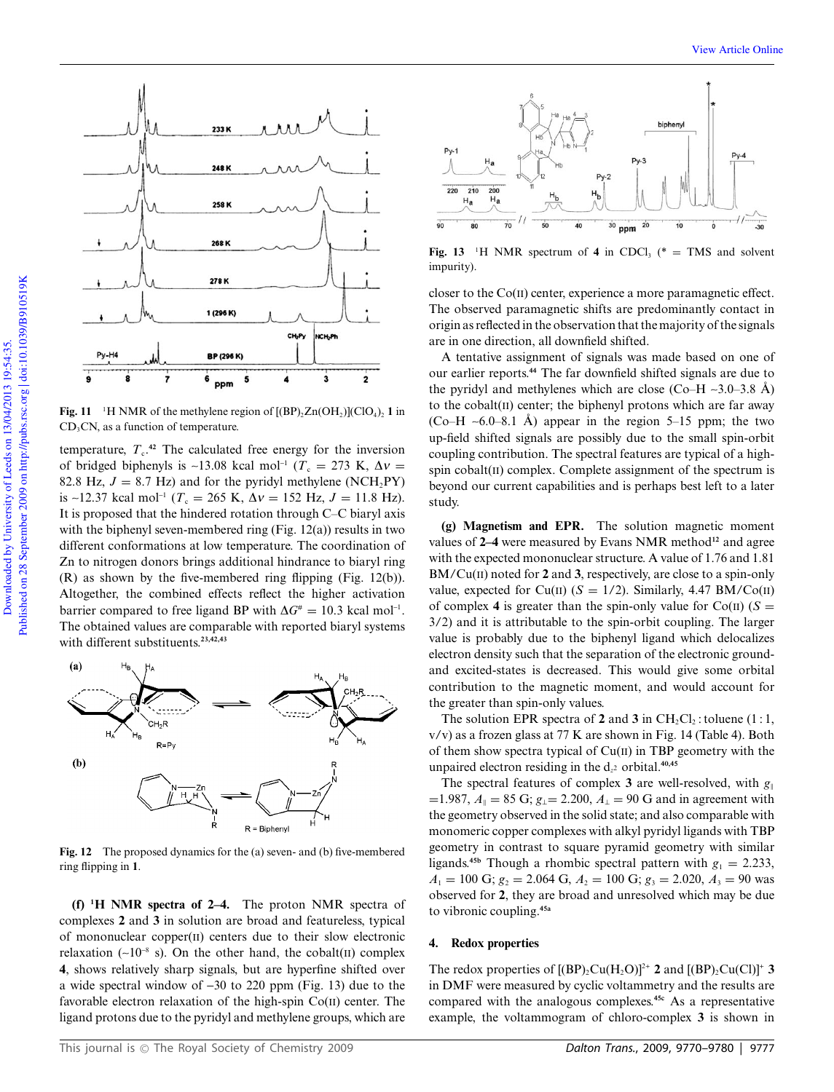

**Fig. 11** <sup>1</sup>H NMR of the methylene region of  $[(BP)_2Zn(OH_2)](ClO_4)_2$  **1** in  $CD<sub>3</sub>CN$ , as a function of temperature.

temperature,  $T_c$ <sup>42</sup> The calculated free energy for the inversion of bridged biphenyls is ~13.08 kcal mol<sup>-1</sup> ( $T_c = 273$  K,  $\Delta v =$ 82.8 Hz,  $J = 8.7$  Hz) and for the pyridyl methylene (NCH<sub>2</sub>PY) is ~12.37 kcal mol<sup>-1</sup> ( $T_c = 265$  K,  $\Delta v = 152$  Hz,  $J = 11.8$  Hz). It is proposed that the hindered rotation through C–C biaryl axis with the biphenyl seven-membered ring (Fig. 12(a)) results in two different conformations at low temperature. The coordination of Zn to nitrogen donors brings additional hindrance to biaryl ring (R) as shown by the five-membered ring flipping (Fig. 12(b)). Altogether, the combined effects reflect the higher activation barrier compared to free ligand BP with  $\Delta G^* = 10.3$  kcal mol<sup>-1</sup>. The obtained values are comparable with reported biaryl systems with different substituents.**23,42,43**



**Fig. 12** The proposed dynamics for the (a) seven- and (b) five-membered ring flipping in **1**.

**(f) <sup>1</sup>H NMR spectra of 2–4.** The proton NMR spectra of complexes **2** and **3** in solution are broad and featureless, typical of mononuclear copper(II) centers due to their slow electronic relaxation ( $\sim 10^{-8}$  s). On the other hand, the cobalt(II) complex **4**, shows relatively sharp signals, but are hyperfine shifted over a wide spectral window of  $-30$  to 220 ppm (Fig. 13) due to the favorable electron relaxation of the high-spin  $Co(II)$  center. The ligand protons due to the pyridyl and methylene groups, which are



**Fig. 13** <sup>1</sup>H NMR spectrum of **4** in CDCl<sub>3</sub> (\* = TMS and solvent impurity).

closer to the  $Co(II)$  center, experience a more paramagnetic effect. The observed paramagnetic shifts are predominantly contact in origin as reflected in the observation that the majority of the signals are in one direction, all downfield shifted.

A tentative assignment of signals was made based on one of our earlier reports.**<sup>44</sup>** The far downfield shifted signals are due to the pyridyl and methylenes which are close (Co–H  $\sim$ 3.0–3.8 Å) to the cobalt $(II)$  center; the biphenyl protons which are far away (Co–H  $\sim$  6.0–8.1 Å) appear in the region 5–15 ppm; the two up-field shifted signals are possibly due to the small spin-orbit coupling contribution. The spectral features are typical of a highspin cobalt(II) complex. Complete assignment of the spectrum is beyond our current capabilities and is perhaps best left to a later study.

**(g) Magnetism and EPR.** The solution magnetic moment values of **2–4** were measured by Evans NMR method**<sup>12</sup>** and agree with the expected mononuclear structure. A value of 1.76 and 1.81 BM/Cu(II) noted for **2** and **3**, respectively, are close to a spin-only value, expected for Cu(II)  $(S = 1/2)$ . Similarly, 4.47 BM/Co(II) of complex 4 is greater than the spin-only value for  $Co(II)$  ( $S =$ 3/2) and it is attributable to the spin-orbit coupling. The larger value is probably due to the biphenyl ligand which delocalizes electron density such that the separation of the electronic groundand excited-states is decreased. This would give some orbital contribution to the magnetic moment, and would account for the greater than spin-only values.

The solution EPR spectra of **2** and **3** in  $CH_2Cl_2$ : toluene (1:1, v/v) as a frozen glass at 77 K are shown in Fig. 14 (Table 4). Both of them show spectra typical of Cu(II) in TBP geometry with the unpaired electron residing in the d*<sup>z</sup>* <sup>2</sup> orbital.**40,45**

The spectral features of complex **3** are well-resolved, with  $g_{\parallel}$  $=1.987, A_{\parallel} = 85$  G;  $g_{\perp} = 2.200, A_{\perp} = 90$  G and in agreement with the geometry observed in the solid state; and also comparable with monomeric copper complexes with alkyl pyridyl ligands with TBP geometry in contrast to square pyramid geometry with similar ligands.<sup>45b</sup> Though a rhombic spectral pattern with  $g_1 = 2.233$ ,  $A_1 = 100 \text{ G}; g_2 = 2.064 \text{ G}, A_2 = 100 \text{ G}; g_3 = 2.020, A_3 = 90 \text{ was}$ observed for **2**, they are broad and unresolved which may be due to vibronic coupling.**45a**

#### **4. Redox properties**

The redox properties of  $[(BP)_2Cu(H_2O)]^{2+}$  2 and  $[(BP)_2Cu(Cl)]^+$  3 in DMF were measured by cyclic voltammetry and the results are compared with the analogous complexes.**45c** As a representative example, the voltammogram of chloro-complex **3** is shown in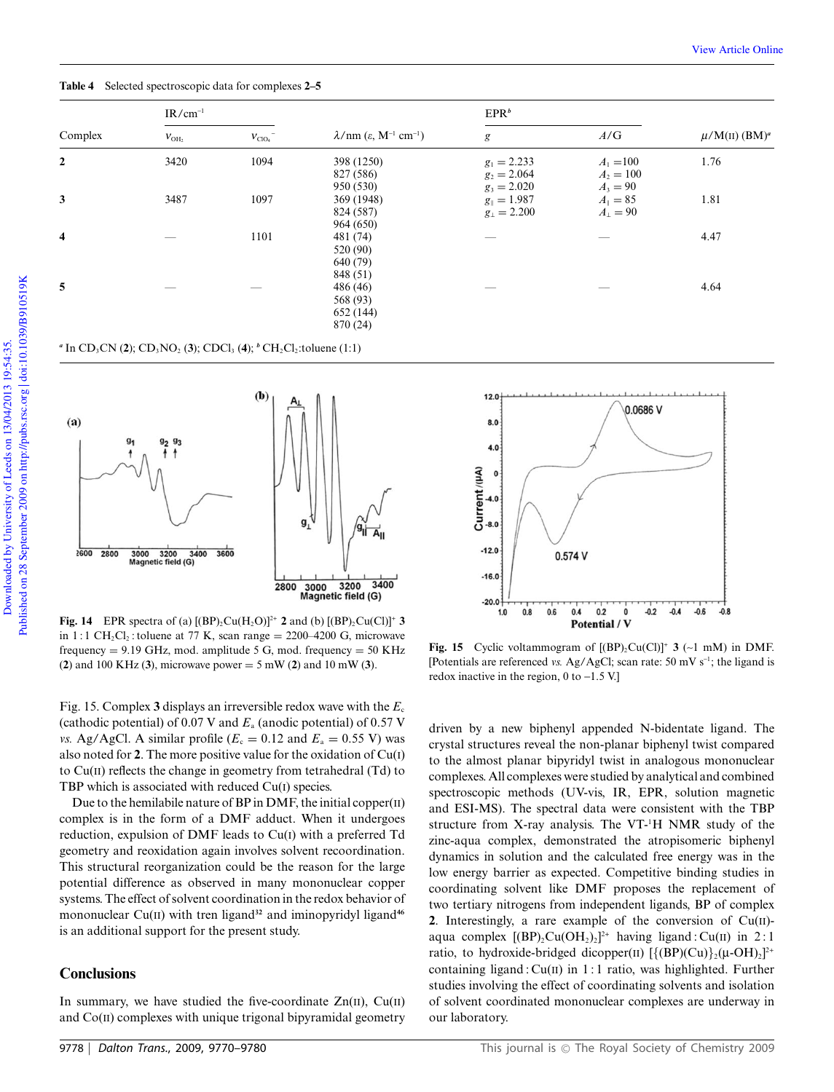**Table 4** Selected spectroscopic data for complexes **2–5**

|                         | $IR/cm^{-1}$ |                    |                                                                    | EPR <sup>b</sup>                                |                                          |                               |
|-------------------------|--------------|--------------------|--------------------------------------------------------------------|-------------------------------------------------|------------------------------------------|-------------------------------|
| Complex                 | $V_{\rm OH}$ | $V_{\text{ClO}_4}$ | $\lambda$ /nm ( $\varepsilon$ , M <sup>-1</sup> cm <sup>-1</sup> ) | g                                               | A/G                                      | $\mu/M(II)$ (BM) <sup>a</sup> |
| $\overline{2}$          | 3420         | 1094               | 398 (1250)<br>827 (586)<br>950 (530)                               | $g_1 = 2.233$<br>$g_2 = 2.064$<br>$g_3 = 2.020$ | $A_1 = 100$<br>$A_2 = 100$<br>$A_3 = 90$ | 1.76                          |
| 3                       | 3487         | 1097               | 369 (1948)<br>824 (587)<br>964 (650)                               | $g_{\parallel} = 1.987$<br>$g_{\perp} = 2.200$  | $A_{\parallel} = 85$<br>$A_{1} = 90$     | 1.81                          |
| $\overline{\mathbf{4}}$ |              | 1101               | 481 (74)<br>520 (90)<br>640 (79)<br>848 (51)                       |                                                 |                                          | 4.47                          |
| 5                       |              |                    | 486 (46)<br>568 (93)<br>652 (144)<br>870 (24)                      |                                                 |                                          | 4.64                          |

|  | " In CD <sub>3</sub> CN (2); CD <sub>3</sub> NO <sub>2</sub> (3); CDCl <sub>3</sub> (4); <sup>b</sup> CH <sub>2</sub> Cl <sub>2</sub> : toluene (1:1) |  |
|--|-------------------------------------------------------------------------------------------------------------------------------------------------------|--|
|  |                                                                                                                                                       |  |



**Fig. 14** EPR spectra of (a)  $[(BP)_2Cu(H_2O)]^{2+}$  **2** and (b)  $[(BP)_2Cu(Cl)]^+$  **3** in  $1:1 \text{ CH}_2\text{Cl}_2$ : toluene at 77 K, scan range = 2200–4200 G, microwave frequency  $= 9.19$  GHz, mod. amplitude 5 G, mod. frequency  $= 50$  KHz (**2**) and 100 KHz (**3**), microwave power = 5 mW (**2**) and 10 mW (**3**).

Fig. 15. Complex **3** displays an irreversible redox wave with the *E*<sup>c</sup> (cathodic potential) of 0.07 V and *E*<sup>a</sup> (anodic potential) of 0.57 V *vs.* Ag/AgCl. A similar profile ( $E_c = 0.12$  and  $E_a = 0.55$  V) was also noted for **2**. The more positive value for the oxidation of Cu(I) to Cu(II) reflects the change in geometry from tetrahedral (Td) to TBP which is associated with reduced Cu(I) species.

Due to the hemilabile nature of BP in DMF, the initial copper(II) complex is in the form of a DMF adduct. When it undergoes reduction, expulsion of DMF leads to Cu(I) with a preferred Td geometry and reoxidation again involves solvent recoordination. This structural reorganization could be the reason for the large potential difference as observed in many mononuclear copper systems. The effect of solvent coordination in the redox behavior of mononuclear  $Cu(II)$  with tren ligand<sup>32</sup> and iminopyridyl ligand<sup>46</sup> is an additional support for the present study.

## **Conclusions**

In summary, we have studied the five-coordinate  $Zn(\text{II})$ ,  $Cu(\text{II})$ and Co(II) complexes with unique trigonal bipyramidal geometry



**Fig. 15** Cyclic voltammogram of  $[(BP)_2Cu(Cl)]^+$  3 (~1 mM) in DMF. [Potentials are referenced *vs.* Ag/AgCl; scan rate: 50 mV  $s^{-1}$ ; the ligand is redox inactive in the region,  $0$  to  $-1.5$  V.]

driven by a new biphenyl appended N-bidentate ligand. The crystal structures reveal the non-planar biphenyl twist compared to the almost planar bipyridyl twist in analogous mononuclear complexes. All complexes were studied by analytical and combined spectroscopic methods (UV-vis, IR, EPR, solution magnetic and ESI-MS). The spectral data were consistent with the TBP structure from X-ray analysis. The VT-<sup>1</sup>H NMR study of the zinc-aqua complex, demonstrated the atropisomeric biphenyl dynamics in solution and the calculated free energy was in the low energy barrier as expected. Competitive binding studies in coordinating solvent like DMF proposes the replacement of two tertiary nitrogens from independent ligands, BP of complex **2**. Interestingly, a rare example of the conversion of  $Cu(II)$ aqua complex  $[(BP)_2Cu(OH_2)_2]^2$ <sup>+</sup> having ligand : Cu(II) in 2:1 ratio, to hydroxide-bridged dicopper(II)  $[\{ (BP)(Cu) \}_2(\mu\text{-}OH)_2]^{2+}$ containing ligand :  $Cu(II)$  in 1 : 1 ratio, was highlighted. Further studies involving the effect of coordinating solvents and isolation of solvent coordinated mononuclear complexes are underway in our laboratory.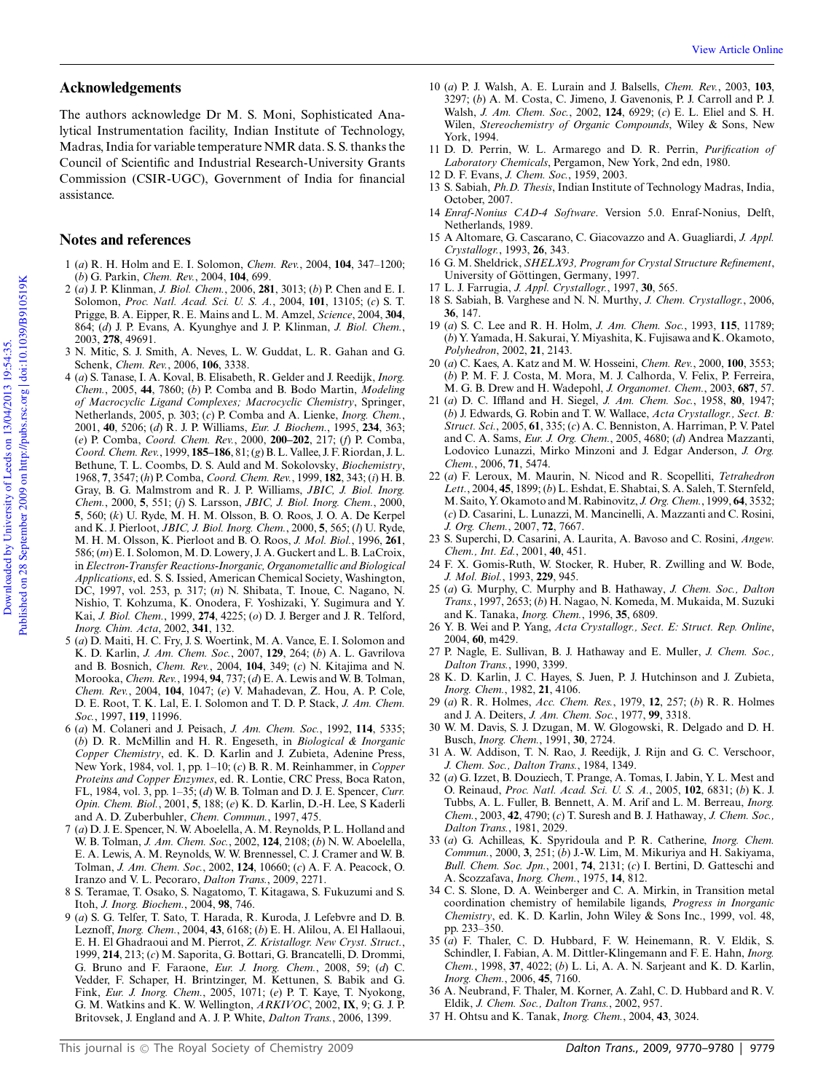## **Acknowledgements**

The authors acknowledge Dr M. S. Moni, Sophisticated Analytical Instrumentation facility, Indian Institute of Technology, Madras, India for variable temperature NMR data. S. S. thanks the Council of Scientific and Industrial Research-University Grants Commission (CSIR-UGC), Government of India for financial assistance.

## **Notes and references**

- 1 (*a*) R. H. Holm and E. I. Solomon, *Chem. Rev.*, 2004, **104**, 347–1200; (*b*) G. Parkin, *Chem. Rev.*, 2004, **104**, 699.
- 2 (*a*) J. P. Klinman, *J. Biol. Chem.*, 2006, **281**, 3013; (*b*) P. Chen and E. I. Solomon, *Proc. Natl. Acad. Sci. U. S. A.*, 2004, **101**, 13105; (*c*) S. T. Prigge, B. A. Eipper, R. E. Mains and L. M. Amzel, *Science*, 2004, **304**, 864; (*d*) J. P. Evans, A. Kyunghye and J. P. Klinman, *J. Biol. Chem.*, 2003, **278**, 49691.
- 3 N. Mitic, S. J. Smith, A. Neves, L. W. Guddat, L. R. Gahan and G. Schenk, *Chem. Rev.*, 2006, **106**, 3338.
- 4 (*a*) S. Tanase, I. A. Koval, B. Elisabeth, R. Gelder and J. Reedijk, *Inorg. Chem.*, 2005, **44**, 7860; (*b*) P. Comba and B. Bodo Martin, *Modeling of Macrocyclic Ligand Complexes; Macrocyclic Chemistry*, Springer, Netherlands, 2005, p. 303; (*c*) P. Comba and A. Lienke, *Inorg. Chem.*, 2001, **40**, 5206; (*d*) R. J. P. Williams, *Eur. J. Biochem.*, 1995, **234**, 363; (*e*) P. Comba, *Coord. Chem. Rev.*, 2000, **200–202**, 217; (*f*) P. Comba, *Coord. Chem. Rev.*, 1999, **185–186**, 81; (*g*) B. L. Vallee, J. F. Riordan, J. L. Bethune, T. L. Coombs, D. S. Auld and M. Sokolovsky, *Biochemistry*, 1968, **7**, 3547; (*h*) P. Comba, *Coord. Chem. Rev.*, 1999, **182**, 343; (*i*) H. B. Gray, B. G. Malmstrom and R. J. P. Williams, *JBIC, J. Biol. Inorg. Chem.*, 2000, **5**, 551; (*j*) S. Larsson, *JBIC, J. Biol. Inorg. Chem.*, 2000, **5**, 560; (*k*) U. Ryde, M. H. M. Olsson, B. O. Roos, J. O. A. De Kerpel and K. J. Pierloot, *JBIC, J. Biol. Inorg. Chem.*, 2000, **5**, 565; (*l*) U. Ryde, M. H. M. Olsson, K. Pierloot and B. O. Roos, *J. Mol. Biol.*, 1996, **261**, 586; (*m*) E. I. Solomon, M. D. Lowery, J. A. Guckert and L. B. LaCroix, in*Electron-Transfer Reactions-Inorganic, Organometallic and Biological Applications*, ed. S. S. Issied, American Chemical Society, Washington, DC, 1997, vol. 253, p. 317; (*n*) N. Shibata, T. Inoue, C. Nagano, N. Nishio, T. Kohzuma, K. Onodera, F. Yoshizaki, Y. Sugimura and Y. Kai, *J. Biol. Chem.*, 1999, **274**, 4225; (*o*) D. J. Berger and J. R. Telford, *Inorg. Chim. Acta*, 2002, **341**, 132.
- 5 (*a*) D. Maiti, H. C. Fry, J. S. Woertink, M. A. Vance, E. I. Solomon and K. D. Karlin, *J. Am. Chem. Soc.*, 2007, **129**, 264; (*b*) A. L. Gavrilova and B. Bosnich, *Chem. Rev.*, 2004, **104**, 349; (*c*) N. Kitajima and N. Morooka, *Chem. Rev.*, 1994, **94**, 737; (*d*) E. A. Lewis and W. B. Tolman, *Chem. Rev.*, 2004, **104**, 1047; (*e*) V. Mahadevan, Z. Hou, A. P. Cole, D. E. Root, T. K. Lal, E. I. Solomon and T. D. P. Stack, *J. Am. Chem. Soc.*, 1997, **119**, 11996.
- 6 (*a*) M. Colaneri and J. Peisach, *J. Am. Chem. Soc.*, 1992, **114**, 5335; (*b*) D. R. McMillin and H. R. Engeseth, in *Biological & Inorganic Copper Chemistry*, ed. K. D. Karlin and J. Zubieta, Adenine Press, New York, 1984, vol. 1, pp. 1–10; (*c*) B. R. M. Reinhammer, in *Copper Proteins and Copper Enzymes*, ed. R. Lontie, CRC Press, Boca Raton, FL, 1984, vol. 3, pp. 1–35; (*d*) W. B. Tolman and D. J. E. Spencer, *Curr. Opin. Chem. Biol.*, 2001, **5**, 188; (*e*) K. D. Karlin, D.-H. Lee, S Kaderli and A. D. Zuberbuhler, *Chem. Commun.*, 1997, 475.
- 7 (*a*) D. J. E. Spencer, N. W. Aboelella, A. M. Reynolds, P. L. Holland and W. B. Tolman, *J. Am. Chem. Soc.*, 2002, **124**, 2108; (*b*) N. W. Aboelella, E. A. Lewis, A. M. Reynolds, W. W. Brennessel, C. J. Cramer and W. B. Tolman, *J. Am. Chem. Soc.*, 2002, **124**, 10660; (*c*) A. F. A. Peacock, O. Iranzo and V. L. Pecoraro, *Dalton Trans.*, 2009, 2271.
- 8 S. Teramae, T. Osako, S. Nagatomo, T. Kitagawa, S. Fukuzumi and S. Itoh, *J. Inorg. Biochem.*, 2004, **98**, 746.
- 9 (*a*) S. G. Telfer, T. Sato, T. Harada, R. Kuroda, J. Lefebvre and D. B. Leznoff, *Inorg. Chem.*, 2004, **43**, 6168; (*b*) E. H. Alilou, A. El Hallaoui, E. H. El Ghadraoui and M. Pierrot, *Z. Kristallogr. New Cryst. Struct.*, 1999, **214**, 213; (*c*) M. Saporita, G. Bottari, G. Brancatelli, D. Drommi, G. Bruno and F. Faraone, *Eur. J. Inorg. Chem.*, 2008, 59; (*d*) C. Vedder, F. Schaper, H. Brintzinger, M. Kettunen, S. Babik and G. Fink, *Eur. J. Inorg. Chem.*, 2005, 1071; (*e*) P. T. Kaye, T. Nyokong, G. M. Watkins and K. W. Wellington, *ARKIVOC*, 2002, **IX**, 9; G. J. P. Britovsek, J. England and A. J. P. White, *Dalton Trans.*, 2006, 1399.
- 10 (*a*) P. J. Walsh, A. E. Lurain and J. Balsells, *Chem. Rev.*, 2003, **103**, 3297; (*b*) A. M. Costa, C. Jimeno, J. Gavenonis, P. J. Carroll and P. J. Walsh, *J. Am. Chem. Soc.*, 2002, **124**, 6929; (*c*) E. L. Eliel and S. H. Wilen, *Stereochemistry of Organic Compounds*, Wiley & Sons, New York, 1994.
- 11 D. D. Perrin, W. L. Armarego and D. R. Perrin, *Purification of Laboratory Chemicals*, Pergamon, New York, 2nd edn, 1980.
- 12 D. F. Evans, *J. Chem. Soc.*, 1959, 2003.
- 13 S. Sabiah, *Ph.D. Thesis*, Indian Institute of Technology Madras, India, October, 2007.
- 14 *Enraf-Nonius CAD-4 Software*. Version 5.0. Enraf-Nonius, Delft, Netherlands, 1989.
- 15 A Altomare, G. Cascarano, C. Giacovazzo and A. Guagliardi, *J. Appl. Crystallogr.*, 1993, **26**, 343.
- 16 G. M. Sheldrick, *SHELX93, Program for Crystal Structure Refinement*, University of Göttingen, Germany, 1997.
- 17 L. J. Farrugia, *J. Appl. Crystallogr.*, 1997, **30**, 565.
- 18 S. Sabiah, B. Varghese and N. N. Murthy, *J. Chem. Crystallogr.*, 2006, **36**, 147.
- 19 (*a*) S. C. Lee and R. H. Holm, *J. Am. Chem. Soc.*, 1993, **115**, 11789; (*b*) Y. Yamada, H. Sakurai, Y.Miyashita, K. Fujisawa and K. Okamoto, *Polyhedron*, 2002, **21**, 2143.
- 20 (*a*) C. Kaes, A. Katz and M. W. Hosseini, *Chem. Rev.*, 2000, **100**, 3553; (*b*) P. M. F. J. Costa, M. Mora, M. J. Calhorda, V. Felix, P. Ferreira, M. G. B. Drew and H. Wadepohl, *J. Organomet. Chem.*, 2003, **687**, 57.
- 21 (*a*) D. C. Iffland and H. Siegel, *J. Am. Chem. Soc.*, 1958, **80**, 1947; (*b*) J. Edwards, G. Robin and T. W. Wallace, *Acta Crystallogr., Sect. B: Struct. Sci.*, 2005, **61**, 335; (*c*) A. C. Benniston, A. Harriman, P. V. Patel and C. A. Sams, *Eur. J. Org. Chem.*, 2005, 4680; (*d*) Andrea Mazzanti, Lodovico Lunazzi, Mirko Minzoni and J. Edgar Anderson, *J. Org. Chem.*, 2006, **71**, 5474.
- 22 (*a*) F. Leroux, M. Maurin, N. Nicod and R. Scopelliti, *Tetrahedron Lett.*, 2004, **45**, 1899; (*b*) L. Eshdat, E. Shabtai, S. A. Saleh, T. Sternfeld, M. Saito, Y. Okamoto andM. Rabinovitz, *J. Org. Chem.*, 1999, **64**, 3532; (*c*) D. Casarini, L. Lunazzi, M. Mancinelli, A. Mazzanti and C. Rosini, *J. Org. Chem.*, 2007, **72**, 7667.
- 23 S. Superchi, D. Casarini, A. Laurita, A. Bavoso and C. Rosini, *Angew. Chem., Int. Ed.*, 2001, **40**, 451.
- 24 F. X. Gomis-Ruth, W. Stocker, R. Huber, R. Zwilling and W. Bode, *J. Mol. Biol.*, 1993, **229**, 945.
- 25 (*a*) G. Murphy, C. Murphy and B. Hathaway, *J. Chem. Soc., Dalton Trans.*, 1997, 2653; (*b*) H. Nagao, N. Komeda, M. Mukaida, M. Suzuki and K. Tanaka, *Inorg. Chem.*, 1996, **35**, 6809.
- 26 Y. B. Wei and P. Yang, *Acta Crystallogr., Sect. E: Struct. Rep. Online*, 2004, **60**, m429.
- 27 P. Nagle, E. Sullivan, B. J. Hathaway and E. Muller, *J. Chem. Soc., Dalton Trans.*, 1990, 3399.
- 28 K. D. Karlin, J. C. Hayes, S. Juen, P. J. Hutchinson and J. Zubieta, *Inorg. Chem.*, 1982, **21**, 4106.
- 29 (*a*) R. R. Holmes, *Acc. Chem. Res.*, 1979, **12**, 257; (*b*) R. R. Holmes and J. A. Deiters, *J. Am. Chem. Soc.*, 1977, **99**, 3318.
- 30 W. M. Davis, S. J. Dzugan, M. W. Glogowski, R. Delgado and D. H. Busch, *Inorg. Chem.*, 1991, **30**, 2724.
- 31 A. W. Addison, T. N. Rao, J. Reedijk, J. Rijn and G. C. Verschoor, *J. Chem. Soc., Dalton Trans.*, 1984, 1349.
- 32 (*a*) G. Izzet, B. Douziech, T. Prange, A. Tomas, I. Jabin, Y. L. Mest and O. Reinaud, *Proc. Natl. Acad. Sci. U. S. A.*, 2005, **102**, 6831; (*b*) K. J. Tubbs, A. L. Fuller, B. Bennett, A. M. Arif and L. M. Berreau, *Inorg. Chem.*, 2003, **42**, 4790; (*c*) T. Suresh and B. J. Hathaway, *J. Chem. Soc., Dalton Trans.*, 1981, 2029.
- 33 (*a*) G. Achilleas, K. Spyridoula and P. R. Catherine, *Inorg. Chem. Commun.*, 2000, **3**, 251; (*b*) J.-W. Lim, M. Mikuriya and H. Sakiyama, *Bull. Chem. Soc. Jpn.*, 2001, **74**, 2131; (*c*) I. Bertini, D. Gatteschi and A. Scozzafava, *Inorg. Chem.*, 1975, **14**, 812.
- 34 C. S. Slone, D. A. Weinberger and C. A. Mirkin, in Transition metal coordination chemistry of hemilabile ligands, *Progress in Inorganic Chemistry*, ed. K. D. Karlin, John Wiley & Sons Inc., 1999, vol. 48, pp. 233–350.
- 35 (*a*) F. Thaler, C. D. Hubbard, F. W. Heinemann, R. V. Eldik, S. Schindler, I. Fabian, A. M. Dittler-Klingemann and F. E. Hahn, *Inorg. Chem.*, 1998, **37**, 4022; (*b*) L. Li, A. A. N. Sarjeant and K. D. Karlin, *Inorg. Chem.*, 2006, **45**, 7160.
- 36 A. Neubrand, F. Thaler, M. Korner, A. Zahl, C. D. Hubbard and R. V. Eldik, *J. Chem. Soc., Dalton Trans.*, 2002, 957.
- 37 H. Ohtsu and K. Tanak, *Inorg. Chem.*, 2004, **43**, 3024.